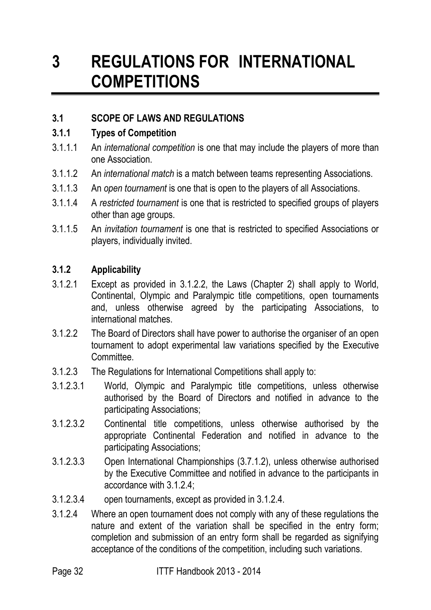# **3 REGULATIONS FOR INTERNATIONAL COMPETITIONS**

## **3.1 SCOPE OF LAWS AND REGULATIONS**

#### **3.1.1 Types of Competition**

- 3.1.1.1 An *international competition* is one that may include the players of more than one Association.
- 3.1.1.2 An *international match* is a match between teams representing Associations.
- 3.1.1.3 An *open tournament* is one that is open to the players of all Associations.
- 3.1.1.4 A *restricted tournament* is one that is restricted to specified groups of players other than age groups.
- 3.1.1.5 An *invitation tournament* is one that is restricted to specified Associations or players, individually invited.

#### **3.1.2 Applicability**

- 3.1.2.1 Except as provided in 3.1.2.2, the Laws (Chapter 2) shall apply to World, Continental, Olympic and Paralympic title competitions, open tournaments and, unless otherwise agreed by the participating Associations, to international matches.
- 3.1.2.2 The Board of Directors shall have power to authorise the organiser of an open tournament to adopt experimental law variations specified by the Executive Committee.
- 3.1.2.3 The Regulations for International Competitions shall apply to:
- 3.1.2.3.1 World, Olympic and Paralympic title competitions, unless otherwise authorised by the Board of Directors and notified in advance to the participating Associations;
- 3.1.2.3.2 Continental title competitions, unless otherwise authorised by the appropriate Continental Federation and notified in advance to the participating Associations;
- 3.1.2.3.3 Open International Championships (3.7.1.2), unless otherwise authorised by the Executive Committee and notified in advance to the participants in accordance with 3.1.2.4;
- 3.1.2.3.4 open tournaments, except as provided in 3.1.2.4.
- 3.1.2.4 Where an open tournament does not comply with any of these regulations the nature and extent of the variation shall be specified in the entry form; completion and submission of an entry form shall be regarded as signifying acceptance of the conditions of the competition, including such variations.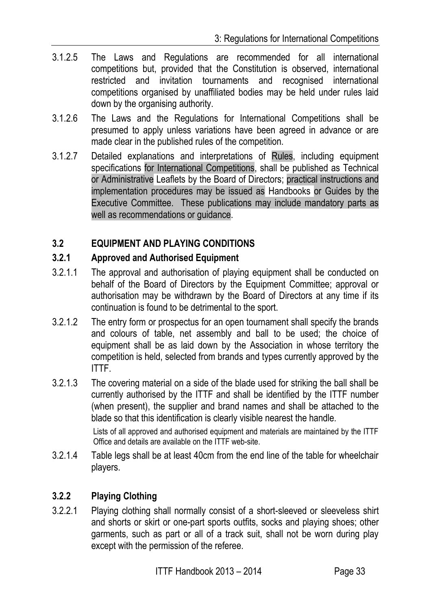- 3.1.2.5 The Laws and Regulations are recommended for all international competitions but, provided that the Constitution is observed, international restricted and invitation tournaments and recognised international competitions organised by unaffiliated bodies may be held under rules laid down by the organising authority.
- 3.1.2.6 The Laws and the Regulations for International Competitions shall be presumed to apply unless variations have been agreed in advance or are made clear in the published rules of the competition.
- 3.1.2.7 Detailed explanations and interpretations of Rules, including equipment specifications for International Competitions, shall be published as Technical or Administrative Leaflets by the Board of Directors; practical instructions and implementation procedures may be issued as Handbooks or Guides by the Executive Committee. These publications may include mandatory parts as well as recommendations or guidance.

#### **3.2 EQUIPMENT AND PLAYING CONDITIONS**

#### **3.2.1 Approved and Authorised Equipment**

- 3.2.1.1 The approval and authorisation of playing equipment shall be conducted on behalf of the Board of Directors by the Equipment Committee; approval or authorisation may be withdrawn by the Board of Directors at any time if its continuation is found to be detrimental to the sport.
- 3.2.1.2 The entry form or prospectus for an open tournament shall specify the brands and colours of table, net assembly and ball to be used; the choice of equipment shall be as laid down by the Association in whose territory the competition is held, selected from brands and types currently approved by the ITTF.
- 3.2.1.3 The covering material on a side of the blade used for striking the ball shall be currently authorised by the ITTF and shall be identified by the ITTF number (when present), the supplier and brand names and shall be attached to the blade so that this identification is clearly visible nearest the handle.

Lists of all approved and authorised equipment and materials are maintained by the ITTF Office and details are available on the ITTF web-site.

3.2.1.4 Table legs shall be at least 40cm from the end line of the table for wheelchair players.

#### **3.2.2 Playing Clothing**

3.2.2.1 Playing clothing shall normally consist of a short-sleeved or sleeveless shirt and shorts or skirt or one-part sports outfits, socks and playing shoes; other garments, such as part or all of a track suit, shall not be worn during play except with the permission of the referee.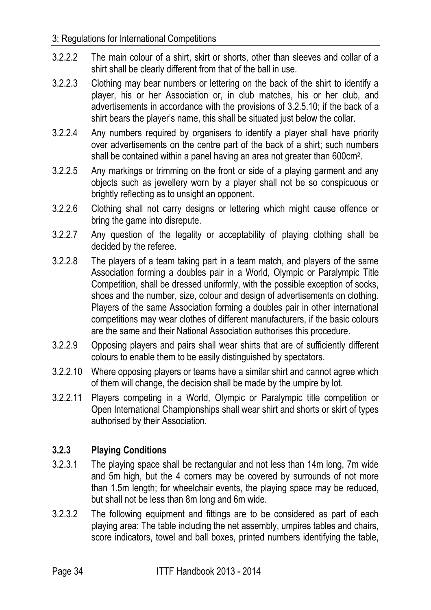#### 3: Regulations for International Competitions

- 3.2.2.2 The main colour of a shirt, skirt or shorts, other than sleeves and collar of a shirt shall be clearly different from that of the ball in use.
- 3.2.2.3 Clothing may bear numbers or lettering on the back of the shirt to identify a player, his or her Association or, in club matches, his or her club, and advertisements in accordance with the provisions of 3.2.5.10; if the back of a shirt bears the player's name, this shall be situated just below the collar.
- 3.2.2.4 Any numbers required by organisers to identify a player shall have priority over advertisements on the centre part of the back of a shirt; such numbers shall be contained within a panel having an area not greater than 600cm<sup>2</sup> .
- 3.2.2.5 Any markings or trimming on the front or side of a playing garment and any objects such as jewellery worn by a player shall not be so conspicuous or brightly reflecting as to unsight an opponent.
- 3.2.2.6 Clothing shall not carry designs or lettering which might cause offence or bring the game into disrepute.
- 3.2.2.7 Any question of the legality or acceptability of playing clothing shall be decided by the referee.
- 3.2.2.8 The players of a team taking part in a team match, and players of the same Association forming a doubles pair in a World, Olympic or Paralympic Title Competition, shall be dressed uniformly, with the possible exception of socks, shoes and the number, size, colour and design of advertisements on clothing. Players of the same Association forming a doubles pair in other international competitions may wear clothes of different manufacturers, if the basic colours are the same and their National Association authorises this procedure.
- 3.2.2.9 Opposing players and pairs shall wear shirts that are of sufficiently different colours to enable them to be easily distinguished by spectators.
- 3.2.2.10 Where opposing players or teams have a similar shirt and cannot agree which of them will change, the decision shall be made by the umpire by lot.
- 3.2.2.11 Players competing in a World, Olympic or Paralympic title competition or Open International Championships shall wear shirt and shorts or skirt of types authorised by their Association.

# **3.2.3 Playing Conditions**

- 3.2.3.1 The playing space shall be rectangular and not less than 14m long, 7m wide and 5m high, but the 4 corners may be covered by surrounds of not more than 1.5m length; for wheelchair events, the playing space may be reduced, but shall not be less than 8m long and 6m wide.
- 3.2.3.2 The following equipment and fittings are to be considered as part of each playing area: The table including the net assembly, umpires tables and chairs, score indicators, towel and ball boxes, printed numbers identifying the table,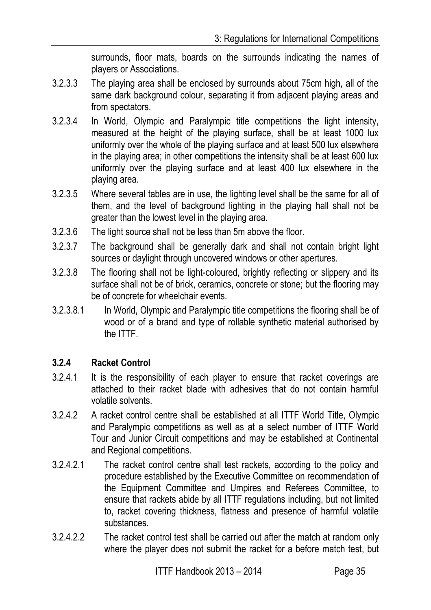surrounds, floor mats, boards on the surrounds indicating the names of players or Associations.

- 3.2.3.3 The playing area shall be enclosed by surrounds about 75cm high, all of the same dark background colour, separating it from adjacent playing areas and from spectators.
- 3.2.3.4 In World, Olympic and Paralympic title competitions the light intensity, measured at the height of the playing surface, shall be at least 1000 lux uniformly over the whole of the playing surface and at least 500 lux elsewhere in the playing area; in other competitions the intensity shall be at least 600 lux uniformly over the playing surface and at least 400 lux elsewhere in the playing area.
- 3.2.3.5 Where several tables are in use, the lighting level shall be the same for all of them, and the level of background lighting in the playing hall shall not be greater than the lowest level in the playing area.
- 3.2.3.6 The light source shall not be less than 5m above the floor.
- 3.2.3.7 The background shall be generally dark and shall not contain bright light sources or daylight through uncovered windows or other apertures.
- 3.2.3.8 The flooring shall not be light-coloured, brightly reflecting or slippery and its surface shall not be of brick, ceramics, concrete or stone; but the flooring may be of concrete for wheelchair events.
- 3.2.3.8.1 In World, Olympic and Paralympic title competitions the flooring shall be of wood or of a brand and type of rollable synthetic material authorised by the ITTF.

#### **3.2.4 Racket Control**

- 3.2.4.1 It is the responsibility of each player to ensure that racket coverings are attached to their racket blade with adhesives that do not contain harmful volatile solvents.
- 3.2.4.2 A racket control centre shall be established at all ITTF World Title, Olympic and Paralympic competitions as well as at a select number of ITTF World Tour and Junior Circuit competitions and may be established at Continental and Regional competitions.
- 3.2.4.2.1 The racket control centre shall test rackets, according to the policy and procedure established by the Executive Committee on recommendation of the Equipment Committee and Umpires and Referees Committee, to ensure that rackets abide by all ITTF regulations including, but not limited to, racket covering thickness, flatness and presence of harmful volatile substances.
- 3.2.4.2.2 The racket control test shall be carried out after the match at random only where the player does not submit the racket for a before match test, but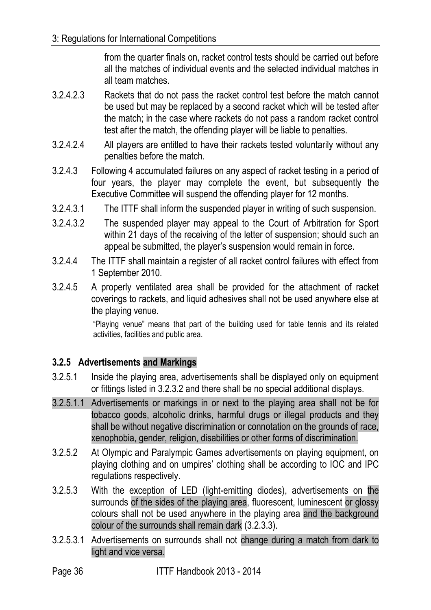from the quarter finals on, racket control tests should be carried out before all the matches of individual events and the selected individual matches in all team matches.

- 3.2.4.2.3 Rackets that do not pass the racket control test before the match cannot be used but may be replaced by a second racket which will be tested after the match; in the case where rackets do not pass a random racket control test after the match, the offending player will be liable to penalties.
- 3.2.4.2.4 All players are entitled to have their rackets tested voluntarily without any penalties before the match.
- 3.2.4.3 Following 4 accumulated failures on any aspect of racket testing in a period of four years, the player may complete the event, but subsequently the Executive Committee will suspend the offending player for 12 months.
- 3.2.4.3.1 The ITTF shall inform the suspended player in writing of such suspension.
- 3.2.4.3.2 The suspended player may appeal to the Court of Arbitration for Sport within 21 days of the receiving of the letter of suspension; should such an appeal be submitted, the player's suspension would remain in force.
- 3.2.4.4 The ITTF shall maintain a register of all racket control failures with effect from 1 September 2010.
- 3.2.4.5 A properly ventilated area shall be provided for the attachment of racket coverings to rackets, and liquid adhesives shall not be used anywhere else at the playing venue.

"Playing venue" means that part of the building used for table tennis and its related activities, facilities and public area.

## **3.2.5 Advertisements and Markings**

- 3.2.5.1 Inside the playing area, advertisements shall be displayed only on equipment or fittings listed in 3.2.3.2 and there shall be no special additional displays.
- 3.2.5.1.1 Advertisements or markings in or next to the playing area shall not be for tobacco goods, alcoholic drinks, harmful drugs or illegal products and they shall be without negative discrimination or connotation on the grounds of race, xenophobia, gender, religion, disabilities or other forms of discrimination.
- 3.2.5.2 At Olympic and Paralympic Games advertisements on playing equipment, on playing clothing and on umpires' clothing shall be according to IOC and IPC regulations respectively.
- 3.2.5.3 With the exception of LED (light-emitting diodes), advertisements on the surrounds of the sides of the playing area, fluorescent, luminescent or glossy colours shall not be used anywhere in the playing area and the background colour of the surrounds shall remain dark (3.2.3.3).
- 3.2.5.3.1 Advertisements on surrounds shall not change during a match from dark to light and vice versa.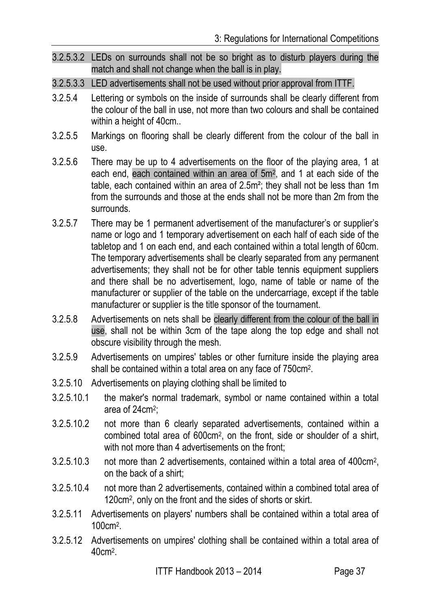- 3.2.5.3.2 LEDs on surrounds shall not be so bright as to disturb players during the match and shall not change when the ball is in play.
- 3.2.5.3.3 LED advertisements shall not be used without prior approval from ITTF.
- 3.2.5.4 Lettering or symbols on the inside of surrounds shall be clearly different from the colour of the ball in use, not more than two colours and shall be contained within a height of 40cm..
- 3.2.5.5 Markings on flooring shall be clearly different from the colour of the ball in use.
- 3.2.5.6 There may be up to 4 advertisements on the floor of the playing area, 1 at each end, each contained within an area of 5m<sup>2</sup>, and 1 at each side of the table, each contained within an area of 2.5m²; they shall not be less than 1m from the surrounds and those at the ends shall not be more than 2m from the surrounds.
- 3.2.5.7 There may be 1 permanent advertisement of the manufacturer's or supplier's name or logo and 1 temporary advertisement on each half of each side of the tabletop and 1 on each end, and each contained within a total length of 60cm. The temporary advertisements shall be clearly separated from any permanent advertisements; they shall not be for other table tennis equipment suppliers and there shall be no advertisement, logo, name of table or name of the manufacturer or supplier of the table on the undercarriage, except if the table manufacturer or supplier is the title sponsor of the tournament.
- 3.2.5.8 Advertisements on nets shall be clearly different from the colour of the ball in use, shall not be within 3cm of the tape along the top edge and shall not obscure visibility through the mesh.
- 3.2.5.9 Advertisements on umpires' tables or other furniture inside the playing area shall be contained within a total area on any face of 750cm<sup>2</sup> .
- 3.2.5.10 Advertisements on playing clothing shall be limited to
- 3.2.5.10.1 the maker's normal trademark, symbol or name contained within a total area of 24cm<sup>2</sup>;
- 3.2.5.10.2 not more than 6 clearly separated advertisements, contained within a combined total area of 600cm<sup>2</sup> , on the front, side or shoulder of a shirt, with not more than 4 advertisements on the front:
- 3.2.5.10.3 not more than 2 advertisements, contained within a total area of 400cm<sup>2</sup> , on the back of a shirt;
- 3.2.5.10.4 not more than 2 advertisements, contained within a combined total area of 120cm<sup>2</sup> , only on the front and the sides of shorts or skirt.
- 3.2.5.11 Advertisements on players' numbers shall be contained within a total area of 100cm<sup>2</sup> .
- 3.2.5.12 Advertisements on umpires' clothing shall be contained within a total area of 40cm<sup>2</sup> .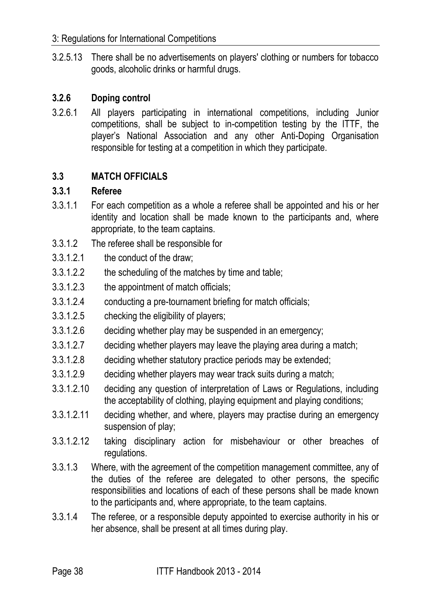#### 3: Regulations for International Competitions

3.2.5.13 There shall be no advertisements on players' clothing or numbers for tobacco goods, alcoholic drinks or harmful drugs.

#### **3.2.6 Doping control**

3.2.6.1 All players participating in international competitions, including Junior competitions, shall be subject to in-competition testing by the ITTF, the player's National Association and any other Anti-Doping Organisation responsible for testing at a competition in which they participate.

#### **3.3 MATCH OFFICIALS**

#### **3.3.1 Referee**

- 3.3.1.1 For each competition as a whole a referee shall be appointed and his or her identity and location shall be made known to the participants and, where appropriate, to the team captains.
- 3.3.1.2 The referee shall be responsible for
- 3.3.1.2.1 the conduct of the draw;
- 3.3.1.2.2 the scheduling of the matches by time and table;
- 3.3.1.2.3 the appointment of match officials;
- 3.3.1.2.4 conducting a pre-tournament briefing for match officials;
- 3.3.1.2.5 checking the eligibility of players;
- 3.3.1.2.6 deciding whether play may be suspended in an emergency;
- 3.3.1.2.7 deciding whether players may leave the playing area during a match;
- 3.3.1.2.8 deciding whether statutory practice periods may be extended;
- 3.3.1.2.9 deciding whether players may wear track suits during a match;
- 3.3.1.2.10 deciding any question of interpretation of Laws or Regulations, including the acceptability of clothing, playing equipment and playing conditions;
- 3.3.1.2.11 deciding whether, and where, players may practise during an emergency suspension of play;
- 3.3.1.2.12 taking disciplinary action for misbehaviour or other breaches of regulations.
- 3.3.1.3 Where, with the agreement of the competition management committee, any of the duties of the referee are delegated to other persons, the specific responsibilities and locations of each of these persons shall be made known to the participants and, where appropriate, to the team captains.
- 3.3.1.4 The referee, or a responsible deputy appointed to exercise authority in his or her absence, shall be present at all times during play.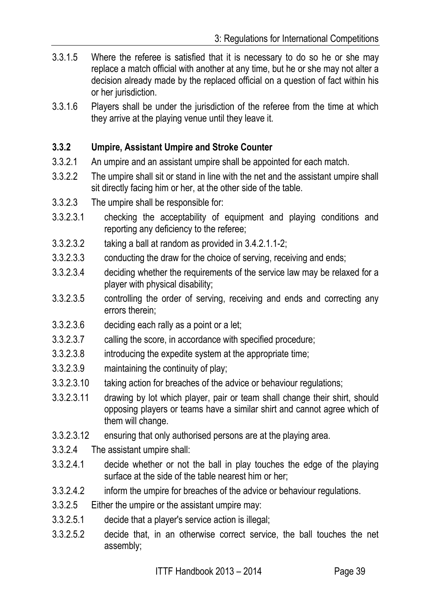- 3.3.1.5 Where the referee is satisfied that it is necessary to do so he or she may replace a match official with another at any time, but he or she may not alter a decision already made by the replaced official on a question of fact within his or her jurisdiction.
- 3.3.1.6 Players shall be under the jurisdiction of the referee from the time at which they arrive at the playing venue until they leave it.

#### **3.3.2 Umpire, Assistant Umpire and Stroke Counter**

- 3.3.2.1 An umpire and an assistant umpire shall be appointed for each match.
- 3.3.2.2 The umpire shall sit or stand in line with the net and the assistant umpire shall sit directly facing him or her, at the other side of the table.
- 3.3.2.3 The umpire shall be responsible for:
- 3.3.2.3.1 checking the acceptability of equipment and playing conditions and reporting any deficiency to the referee;
- 3.3.2.3.2 taking a ball at random as provided in 3.4.2.1.1-2;
- 3.3.2.3.3 conducting the draw for the choice of serving, receiving and ends;
- 3.3.2.3.4 deciding whether the requirements of the service law may be relaxed for a player with physical disability;
- 3.3.2.3.5 controlling the order of serving, receiving and ends and correcting any errors therein;
- 3.3.2.3.6 deciding each rally as a point or a let;
- 3.3.2.3.7 calling the score, in accordance with specified procedure;
- 3.3.2.3.8 introducing the expedite system at the appropriate time;
- 3.3.2.3.9 maintaining the continuity of play;
- 3.3.2.3.10 taking action for breaches of the advice or behaviour regulations;
- 3.3.2.3.11 drawing by lot which player, pair or team shall change their shirt, should opposing players or teams have a similar shirt and cannot agree which of them will change.
- 3.3.2.3.12 ensuring that only authorised persons are at the playing area.
- 3.3.2.4 The assistant umpire shall:
- 3.3.2.4.1 decide whether or not the ball in play touches the edge of the playing surface at the side of the table nearest him or her;
- 3.3.2.4.2 inform the umpire for breaches of the advice or behaviour regulations.
- 3.3.2.5 Either the umpire or the assistant umpire may:
- 3.3.2.5.1 decide that a player's service action is illegal;
- 3.3.2.5.2 decide that, in an otherwise correct service, the ball touches the net assembly;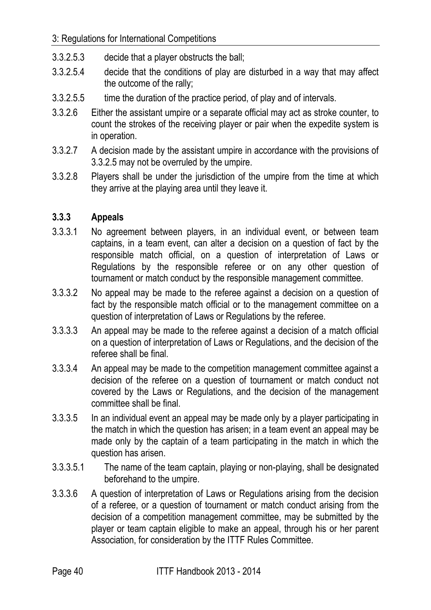- 3.3.2.5.3 decide that a player obstructs the ball;
- 3.3.2.5.4 decide that the conditions of play are disturbed in a way that may affect the outcome of the rally;
- 3.3.2.5.5 time the duration of the practice period, of play and of intervals.
- 3.3.2.6 Either the assistant umpire or a separate official may act as stroke counter, to count the strokes of the receiving player or pair when the expedite system is in operation.
- 3.3.2.7 A decision made by the assistant umpire in accordance with the provisions of 3.3.2.5 may not be overruled by the umpire.
- 3.3.2.8 Players shall be under the jurisdiction of the umpire from the time at which they arrive at the playing area until they leave it.

## **3.3.3 Appeals**

- 3.3.3.1 No agreement between players, in an individual event, or between team captains, in a team event, can alter a decision on a question of fact by the responsible match official, on a question of interpretation of Laws or Regulations by the responsible referee or on any other question of tournament or match conduct by the responsible management committee.
- 3.3.3.2 No appeal may be made to the referee against a decision on a question of fact by the responsible match official or to the management committee on a question of interpretation of Laws or Regulations by the referee.
- 3.3.3.3 An appeal may be made to the referee against a decision of a match official on a question of interpretation of Laws or Regulations, and the decision of the referee shall be final.
- 3.3.3.4 An appeal may be made to the competition management committee against a decision of the referee on a question of tournament or match conduct not covered by the Laws or Regulations, and the decision of the management committee shall be final.
- 3.3.3.5 In an individual event an appeal may be made only by a player participating in the match in which the question has arisen; in a team event an appeal may be made only by the captain of a team participating in the match in which the question has arisen.
- 3.3.3.5.1 The name of the team captain, playing or non-playing, shall be designated beforehand to the umpire.
- 3.3.3.6 A question of interpretation of Laws or Regulations arising from the decision of a referee, or a question of tournament or match conduct arising from the decision of a competition management committee, may be submitted by the player or team captain eligible to make an appeal, through his or her parent Association, for consideration by the ITTF Rules Committee.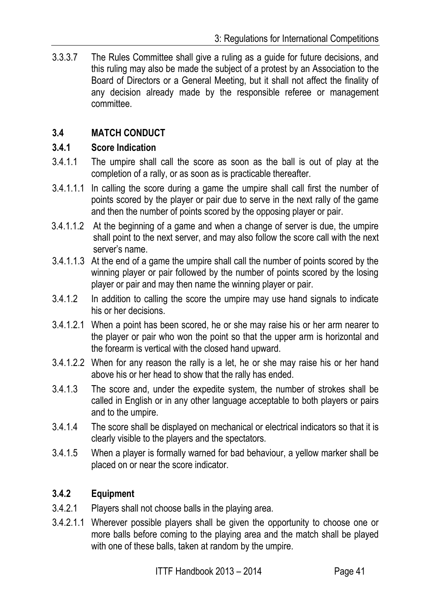3.3.3.7 The Rules Committee shall give a ruling as a guide for future decisions, and this ruling may also be made the subject of a protest by an Association to the Board of Directors or a General Meeting, but it shall not affect the finality of any decision already made by the responsible referee or management committee.

# **3.4 MATCH CONDUCT**

#### **3.4.1 Score Indication**

- 3.4.1.1 The umpire shall call the score as soon as the ball is out of play at the completion of a rally, or as soon as is practicable thereafter.
- 3.4.1.1.1 In calling the score during a game the umpire shall call first the number of points scored by the player or pair due to serve in the next rally of the game and then the number of points scored by the opposing player or pair.
- 3.4.1.1.2 At the beginning of a game and when a change of server is due, the umpire shall point to the next server, and may also follow the score call with the next server's name.
- 3.4.1.1.3 At the end of a game the umpire shall call the number of points scored by the winning player or pair followed by the number of points scored by the losing player or pair and may then name the winning player or pair.
- 3.4.1.2 In addition to calling the score the umpire may use hand signals to indicate his or her decisions.
- 3.4.1.2.1 When a point has been scored, he or she may raise his or her arm nearer to the player or pair who won the point so that the upper arm is horizontal and the forearm is vertical with the closed hand upward.
- 3.4.1.2.2 When for any reason the rally is a let, he or she may raise his or her hand above his or her head to show that the rally has ended.
- 3.4.1.3 The score and, under the expedite system, the number of strokes shall be called in English or in any other language acceptable to both players or pairs and to the umpire.
- 3.4.1.4 The score shall be displayed on mechanical or electrical indicators so that it is clearly visible to the players and the spectators.
- 3.4.1.5 When a player is formally warned for bad behaviour, a yellow marker shall be placed on or near the score indicator.

#### **3.4.2 Equipment**

- 3.4.2.1 Players shall not choose balls in the playing area.
- 3.4.2.1.1 Wherever possible players shall be given the opportunity to choose one or more balls before coming to the playing area and the match shall be played with one of these balls, taken at random by the umpire.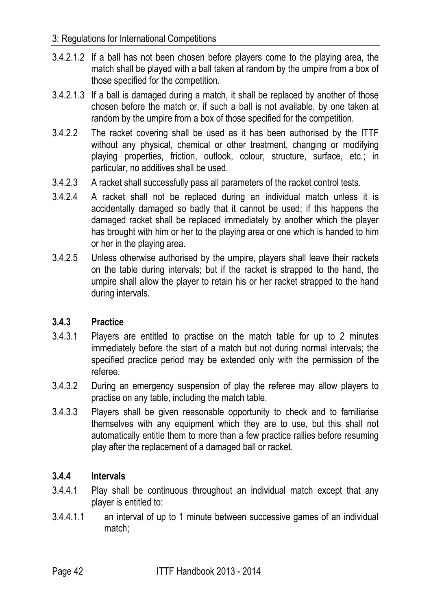- 3.4.2.1.2 If a ball has not been chosen before players come to the playing area, the match shall be played with a ball taken at random by the umpire from a box of those specified for the competition.
- 3.4.2.1.3 If a ball is damaged during a match, it shall be replaced by another of those chosen before the match or, if such a ball is not available, by one taken at random by the umpire from a box of those specified for the competition.
- 3.4.2.2 The racket covering shall be used as it has been authorised by the ITTF without any physical, chemical or other treatment, changing or modifying playing properties, friction, outlook, colour, structure, surface, etc.; in particular, no additives shall be used.
- 3.4.2.3 A racket shall successfully pass all parameters of the racket control tests.
- 3.4.2.4 A racket shall not be replaced during an individual match unless it is accidentally damaged so badly that it cannot be used; if this happens the damaged racket shall be replaced immediately by another which the player has brought with him or her to the playing area or one which is handed to him or her in the playing area.
- 3.4.2.5 Unless otherwise authorised by the umpire, players shall leave their rackets on the table during intervals; but if the racket is strapped to the hand, the umpire shall allow the player to retain his or her racket strapped to the hand during intervals.

## **3.4.3 Practice**

- 3.4.3.1 Players are entitled to practise on the match table for up to 2 minutes immediately before the start of a match but not during normal intervals; the specified practice period may be extended only with the permission of the referee.
- 3.4.3.2 During an emergency suspension of play the referee may allow players to practise on any table, including the match table.
- 3.4.3.3 Players shall be given reasonable opportunity to check and to familiarise themselves with any equipment which they are to use, but this shall not automatically entitle them to more than a few practice rallies before resuming play after the replacement of a damaged ball or racket.

## **3.4.4 Intervals**

- 3.4.4.1 Play shall be continuous throughout an individual match except that any player is entitled to:
- 3.4.4.1.1 an interval of up to 1 minute between successive games of an individual match;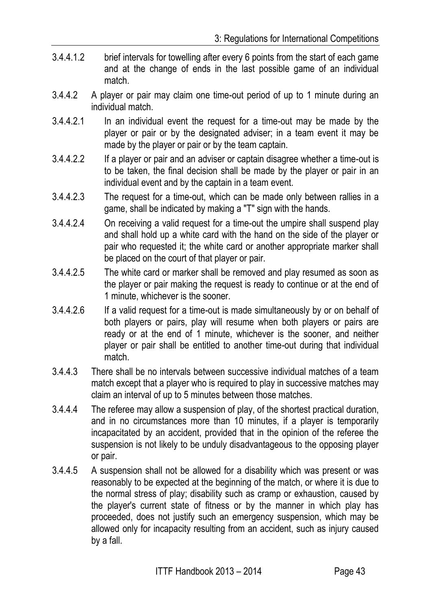- 3.4.4.1.2 brief intervals for towelling after every 6 points from the start of each game and at the change of ends in the last possible game of an individual match.
- 3.4.4.2 A player or pair may claim one time-out period of up to 1 minute during an individual match.
- 3.4.4.2.1 In an individual event the request for a time-out may be made by the player or pair or by the designated adviser; in a team event it may be made by the player or pair or by the team captain.
- 3.4.4.2.2 If a player or pair and an adviser or captain disagree whether a time-out is to be taken, the final decision shall be made by the player or pair in an individual event and by the captain in a team event.
- 3.4.4.2.3 The request for a time-out, which can be made only between rallies in a game, shall be indicated by making a "T" sign with the hands.
- 3.4.4.2.4 On receiving a valid request for a time-out the umpire shall suspend play and shall hold up a white card with the hand on the side of the player or pair who requested it; the white card or another appropriate marker shall be placed on the court of that player or pair.
- 3.4.4.2.5 The white card or marker shall be removed and play resumed as soon as the player or pair making the request is ready to continue or at the end of 1 minute, whichever is the sooner.
- 3.4.4.2.6 If a valid request for a time-out is made simultaneously by or on behalf of both players or pairs, play will resume when both players or pairs are ready or at the end of 1 minute, whichever is the sooner, and neither player or pair shall be entitled to another time-out during that individual match.
- 3.4.4.3 There shall be no intervals between successive individual matches of a team match except that a player who is required to play in successive matches may claim an interval of up to 5 minutes between those matches.
- 3.4.4.4 The referee may allow a suspension of play, of the shortest practical duration, and in no circumstances more than 10 minutes, if a player is temporarily incapacitated by an accident, provided that in the opinion of the referee the suspension is not likely to be unduly disadvantageous to the opposing player or pair.
- 3.4.4.5 A suspension shall not be allowed for a disability which was present or was reasonably to be expected at the beginning of the match, or where it is due to the normal stress of play; disability such as cramp or exhaustion, caused by the player's current state of fitness or by the manner in which play has proceeded, does not justify such an emergency suspension, which may be allowed only for incapacity resulting from an accident, such as injury caused by a fall.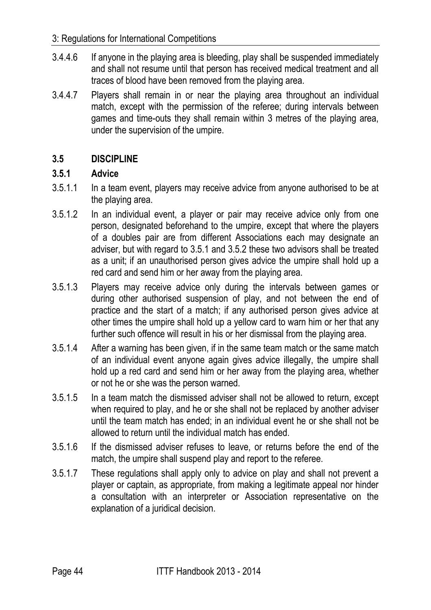#### 3: Regulations for International Competitions

- 3.4.4.6 If anyone in the playing area is bleeding, play shall be suspended immediately and shall not resume until that person has received medical treatment and all traces of blood have been removed from the playing area.
- 3.4.4.7 Players shall remain in or near the playing area throughout an individual match, except with the permission of the referee; during intervals between games and time-outs they shall remain within 3 metres of the playing area, under the supervision of the umpire.

#### **3.5 DISCIPLINE**

#### **3.5.1 Advice**

- 3.5.1.1 In a team event, players may receive advice from anyone authorised to be at the playing area.
- 3.5.1.2 In an individual event, a player or pair may receive advice only from one person, designated beforehand to the umpire, except that where the players of a doubles pair are from different Associations each may designate an adviser, but with regard to 3.5.1 and 3.5.2 these two advisors shall be treated as a unit; if an unauthorised person gives advice the umpire shall hold up a red card and send him or her away from the playing area.
- 3.5.1.3 Players may receive advice only during the intervals between games or during other authorised suspension of play, and not between the end of practice and the start of a match; if any authorised person gives advice at other times the umpire shall hold up a yellow card to warn him or her that any further such offence will result in his or her dismissal from the playing area.
- 3.5.1.4 After a warning has been given, if in the same team match or the same match of an individual event anyone again gives advice illegally, the umpire shall hold up a red card and send him or her away from the playing area, whether or not he or she was the person warned.
- 3.5.1.5 In a team match the dismissed adviser shall not be allowed to return, except when required to play, and he or she shall not be replaced by another adviser until the team match has ended; in an individual event he or she shall not be allowed to return until the individual match has ended.
- 3.5.1.6 If the dismissed adviser refuses to leave, or returns before the end of the match, the umpire shall suspend play and report to the referee.
- 3.5.1.7 These regulations shall apply only to advice on play and shall not prevent a player or captain, as appropriate, from making a legitimate appeal nor hinder a consultation with an interpreter or Association representative on the explanation of a juridical decision.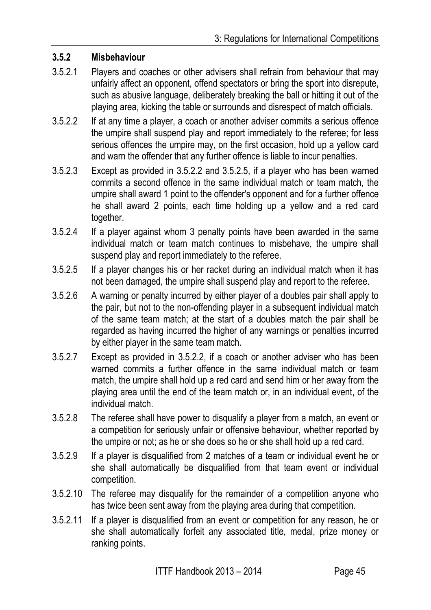#### **3.5.2 Misbehaviour**

- 3.5.2.1 Players and coaches or other advisers shall refrain from behaviour that may unfairly affect an opponent, offend spectators or bring the sport into disrepute, such as abusive language, deliberately breaking the ball or hitting it out of the playing area, kicking the table or surrounds and disrespect of match officials.
- 3.5.2.2 If at any time a player, a coach or another adviser commits a serious offence the umpire shall suspend play and report immediately to the referee; for less serious offences the umpire may, on the first occasion, hold up a yellow card and warn the offender that any further offence is liable to incur penalties.
- 3.5.2.3 Except as provided in 3.5.2.2 and 3.5.2.5, if a player who has been warned commits a second offence in the same individual match or team match, the umpire shall award 1 point to the offender's opponent and for a further offence he shall award 2 points, each time holding up a yellow and a red card together.
- 3.5.2.4 If a player against whom 3 penalty points have been awarded in the same individual match or team match continues to misbehave, the umpire shall suspend play and report immediately to the referee.
- 3.5.2.5 If a player changes his or her racket during an individual match when it has not been damaged, the umpire shall suspend play and report to the referee.
- 3.5.2.6 A warning or penalty incurred by either player of a doubles pair shall apply to the pair, but not to the non-offending player in a subsequent individual match of the same team match; at the start of a doubles match the pair shall be regarded as having incurred the higher of any warnings or penalties incurred by either player in the same team match.
- 3.5.2.7 Except as provided in 3.5.2.2, if a coach or another adviser who has been warned commits a further offence in the same individual match or team match, the umpire shall hold up a red card and send him or her away from the playing area until the end of the team match or, in an individual event, of the individual match.
- 3.5.2.8 The referee shall have power to disqualify a player from a match, an event or a competition for seriously unfair or offensive behaviour, whether reported by the umpire or not; as he or she does so he or she shall hold up a red card.
- 3.5.2.9 If a player is disqualified from 2 matches of a team or individual event he or she shall automatically be disqualified from that team event or individual competition.
- 3.5.2.10 The referee may disqualify for the remainder of a competition anyone who has twice been sent away from the playing area during that competition.
- 3.5.2.11 If a player is disqualified from an event or competition for any reason, he or she shall automatically forfeit any associated title, medal, prize money or ranking points.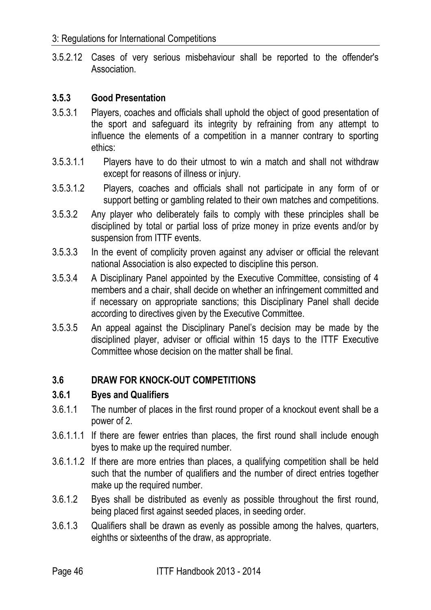3.5.2.12 Cases of very serious misbehaviour shall be reported to the offender's Association.

#### **3.5.3 Good Presentation**

- 3.5.3.1 Players, coaches and officials shall uphold the object of good presentation of the sport and safeguard its integrity by refraining from any attempt to influence the elements of a competition in a manner contrary to sporting ethics:
- 3.5.3.1.1 Players have to do their utmost to win a match and shall not withdraw except for reasons of illness or injury.
- 3.5.3.1.2 Players, coaches and officials shall not participate in any form of or support betting or gambling related to their own matches and competitions.
- 3.5.3.2 Any player who deliberately fails to comply with these principles shall be disciplined by total or partial loss of prize money in prize events and/or by suspension from ITTF events.
- 3.5.3.3 In the event of complicity proven against any adviser or official the relevant national Association is also expected to discipline this person.
- 3.5.3.4 A Disciplinary Panel appointed by the Executive Committee, consisting of 4 members and a chair, shall decide on whether an infringement committed and if necessary on appropriate sanctions; this Disciplinary Panel shall decide according to directives given by the Executive Committee.
- 3.5.3.5 An appeal against the Disciplinary Panel's decision may be made by the disciplined player, adviser or official within 15 days to the ITTF Executive Committee whose decision on the matter shall be final.

## **3.6 DRAW FOR KNOCK-OUT COMPETITIONS**

#### **3.6.1 Byes and Qualifiers**

- 3.6.1.1 The number of places in the first round proper of a knockout event shall be a power of 2.
- 3.6.1.1.1 If there are fewer entries than places, the first round shall include enough byes to make up the required number.
- 3.6.1.1.2 If there are more entries than places, a qualifying competition shall be held such that the number of qualifiers and the number of direct entries together make up the required number.
- 3.6.1.2 Byes shall be distributed as evenly as possible throughout the first round, being placed first against seeded places, in seeding order.
- 3.6.1.3 Qualifiers shall be drawn as evenly as possible among the halves, quarters, eighths or sixteenths of the draw, as appropriate.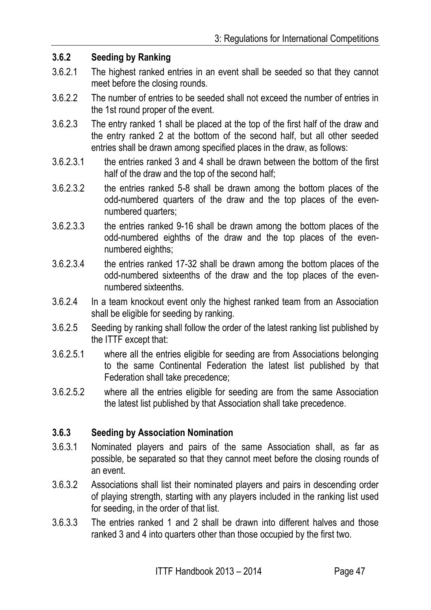#### **3.6.2 Seeding by Ranking**

- 3.6.2.1 The highest ranked entries in an event shall be seeded so that they cannot meet before the closing rounds.
- 3.6.2.2 The number of entries to be seeded shall not exceed the number of entries in the 1st round proper of the event.
- 3.6.2.3 The entry ranked 1 shall be placed at the top of the first half of the draw and the entry ranked 2 at the bottom of the second half, but all other seeded entries shall be drawn among specified places in the draw, as follows:
- 3.6.2.3.1 the entries ranked 3 and 4 shall be drawn between the bottom of the first half of the draw and the top of the second half;
- 3.6.2.3.2 the entries ranked 5-8 shall be drawn among the bottom places of the odd-numbered quarters of the draw and the top places of the evennumbered quarters;
- 3.6.2.3.3 the entries ranked 9-16 shall be drawn among the bottom places of the odd-numbered eighths of the draw and the top places of the evennumbered eighths;
- 3.6.2.3.4 the entries ranked 17-32 shall be drawn among the bottom places of the odd-numbered sixteenths of the draw and the top places of the evennumbered sixteenths.
- 3.6.2.4 In a team knockout event only the highest ranked team from an Association shall be eligible for seeding by ranking.
- 3.6.2.5 Seeding by ranking shall follow the order of the latest ranking list published by the ITTF except that:
- 3.6.2.5.1 where all the entries eligible for seeding are from Associations belonging to the same Continental Federation the latest list published by that Federation shall take precedence;
- 3.6.2.5.2 where all the entries eligible for seeding are from the same Association the latest list published by that Association shall take precedence.

#### **3.6.3 Seeding by Association Nomination**

- 3.6.3.1 Nominated players and pairs of the same Association shall, as far as possible, be separated so that they cannot meet before the closing rounds of an event.
- 3.6.3.2 Associations shall list their nominated players and pairs in descending order of playing strength, starting with any players included in the ranking list used for seeding, in the order of that list.
- 3.6.3.3 The entries ranked 1 and 2 shall be drawn into different halves and those ranked 3 and 4 into quarters other than those occupied by the first two.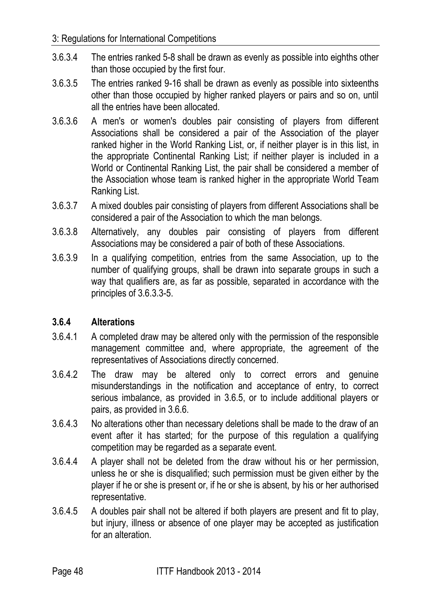- 3.6.3.4 The entries ranked 5-8 shall be drawn as evenly as possible into eighths other than those occupied by the first four.
- 3.6.3.5 The entries ranked 9-16 shall be drawn as evenly as possible into sixteenths other than those occupied by higher ranked players or pairs and so on, until all the entries have been allocated.
- 3.6.3.6 A men's or women's doubles pair consisting of players from different Associations shall be considered a pair of the Association of the player ranked higher in the World Ranking List, or, if neither player is in this list, in the appropriate Continental Ranking List; if neither player is included in a World or Continental Ranking List, the pair shall be considered a member of the Association whose team is ranked higher in the appropriate World Team Ranking List.
- 3.6.3.7 A mixed doubles pair consisting of players from different Associations shall be considered a pair of the Association to which the man belongs.
- 3.6.3.8 Alternatively, any doubles pair consisting of players from different Associations may be considered a pair of both of these Associations.
- 3.6.3.9 In a qualifying competition, entries from the same Association, up to the number of qualifying groups, shall be drawn into separate groups in such a way that qualifiers are, as far as possible, separated in accordance with the principles of 3.6.3.3-5.

## **3.6.4 Alterations**

- 3.6.4.1 A completed draw may be altered only with the permission of the responsible management committee and, where appropriate, the agreement of the representatives of Associations directly concerned.
- 3.6.4.2 The draw may be altered only to correct errors and genuine misunderstandings in the notification and acceptance of entry, to correct serious imbalance, as provided in 3.6.5, or to include additional players or pairs, as provided in 3.6.6.
- 3.6.4.3 No alterations other than necessary deletions shall be made to the draw of an event after it has started; for the purpose of this regulation a qualifying competition may be regarded as a separate event.
- 3.6.4.4 A player shall not be deleted from the draw without his or her permission, unless he or she is disqualified; such permission must be given either by the player if he or she is present or, if he or she is absent, by his or her authorised representative.
- 3.6.4.5 A doubles pair shall not be altered if both players are present and fit to play, but injury, illness or absence of one player may be accepted as justification for an alteration.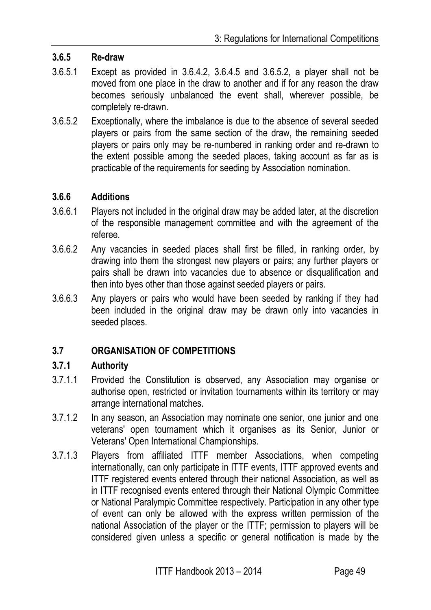#### **3.6.5 Re-draw**

- 3.6.5.1 Except as provided in 3.6.4.2, 3.6.4.5 and 3.6.5.2, a player shall not be moved from one place in the draw to another and if for any reason the draw becomes seriously unbalanced the event shall, wherever possible, be completely re-drawn.
- 3.6.5.2 Exceptionally, where the imbalance is due to the absence of several seeded players or pairs from the same section of the draw, the remaining seeded players or pairs only may be re-numbered in ranking order and re-drawn to the extent possible among the seeded places, taking account as far as is practicable of the requirements for seeding by Association nomination.

#### **3.6.6 Additions**

- 3.6.6.1 Players not included in the original draw may be added later, at the discretion of the responsible management committee and with the agreement of the referee.
- 3.6.6.2 Any vacancies in seeded places shall first be filled, in ranking order, by drawing into them the strongest new players or pairs; any further players or pairs shall be drawn into vacancies due to absence or disqualification and then into byes other than those against seeded players or pairs.
- 3.6.6.3 Any players or pairs who would have been seeded by ranking if they had been included in the original draw may be drawn only into vacancies in seeded places.

## **3.7 ORGANISATION OF COMPETITIONS**

#### **3.7.1 Authority**

- 3.7.1.1 Provided the Constitution is observed, any Association may organise or authorise open, restricted or invitation tournaments within its territory or may arrange international matches.
- 3.7.1.2 In any season, an Association may nominate one senior, one junior and one veterans' open tournament which it organises as its Senior, Junior or Veterans' Open International Championships.
- 3.7.1.3 Players from affiliated ITTF member Associations, when competing internationally, can only participate in ITTF events, ITTF approved events and ITTF registered events entered through their national Association, as well as in ITTF recognised events entered through their National Olympic Committee or National Paralympic Committee respectively. Participation in any other type of event can only be allowed with the express written permission of the national Association of the player or the ITTF; permission to players will be considered given unless a specific or general notification is made by the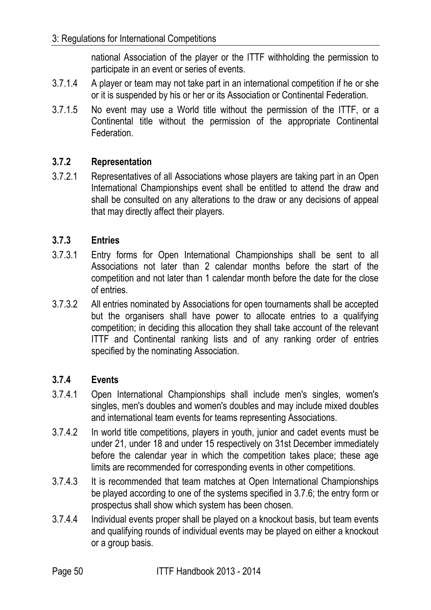national Association of the player or the ITTF withholding the permission to participate in an event or series of events.

- 3.7.1.4 A player or team may not take part in an international competition if he or she or it is suspended by his or her or its Association or Continental Federation.
- 3.7.1.5 No event may use a World title without the permission of the ITTF, or a Continental title without the permission of the appropriate Continental Federation.

# **3.7.2 Representation**

3.7.2.1 Representatives of all Associations whose players are taking part in an Open International Championships event shall be entitled to attend the draw and shall be consulted on any alterations to the draw or any decisions of appeal that may directly affect their players.

## **3.7.3 Entries**

- 3.7.3.1 Entry forms for Open International Championships shall be sent to all Associations not later than 2 calendar months before the start of the competition and not later than 1 calendar month before the date for the close of entries.
- 3.7.3.2 All entries nominated by Associations for open tournaments shall be accepted but the organisers shall have power to allocate entries to a qualifying competition; in deciding this allocation they shall take account of the relevant ITTF and Continental ranking lists and of any ranking order of entries specified by the nominating Association.

## **3.7.4 Events**

- 3.7.4.1 Open International Championships shall include men's singles, women's singles, men's doubles and women's doubles and may include mixed doubles and international team events for teams representing Associations.
- 3.7.4.2 In world title competitions, players in youth, junior and cadet events must be under 21, under 18 and under 15 respectively on 31st December immediately before the calendar year in which the competition takes place; these age limits are recommended for corresponding events in other competitions.
- 3.7.4.3 It is recommended that team matches at Open International Championships be played according to one of the systems specified in 3.7.6; the entry form or prospectus shall show which system has been chosen.
- 3.7.4.4 Individual events proper shall be played on a knockout basis, but team events and qualifying rounds of individual events may be played on either a knockout or a group basis.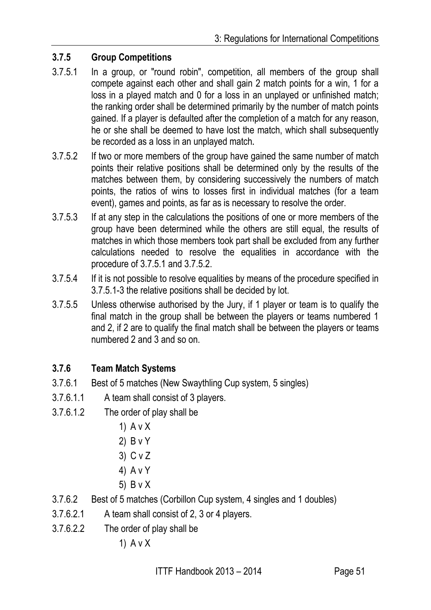## **3.7.5 Group Competitions**

- 3.7.5.1 In a group, or "round robin", competition, all members of the group shall compete against each other and shall gain 2 match points for a win, 1 for a loss in a played match and 0 for a loss in an unplayed or unfinished match; the ranking order shall be determined primarily by the number of match points gained. If a player is defaulted after the completion of a match for any reason, he or she shall be deemed to have lost the match, which shall subsequently be recorded as a loss in an unplayed match**.**
- 3.7.5.2 If two or more members of the group have gained the same number of match points their relative positions shall be determined only by the results of the matches between them, by considering successively the numbers of match points, the ratios of wins to losses first in individual matches (for a team event), games and points, as far as is necessary to resolve the order.
- 3.7.5.3 If at any step in the calculations the positions of one or more members of the group have been determined while the others are still equal, the results of matches in which those members took part shall be excluded from any further calculations needed to resolve the equalities in accordance with the procedure of 3.7.5.1 and 3.7.5.2.
- 3.7.5.4 If it is not possible to resolve equalities by means of the procedure specified in 3.7.5.1-3 the relative positions shall be decided by lot.
- 3.7.5.5 Unless otherwise authorised by the Jury, if 1 player or team is to qualify the final match in the group shall be between the players or teams numbered 1 and 2, if 2 are to qualify the final match shall be between the players or teams numbered 2 and 3 and so on.

## **3.7.6 Team Match Systems**

- 3.7.6.1 Best of 5 matches (New Swaythling Cup system, 5 singles)
- 3.7.6.1.1 A team shall consist of 3 players.
- 3.7.6.1.2 The order of play shall be
	- 1) A v X
	- 2) B v Y
	- 3) C v Z
	- 4) A v Y
	- 5) B v X
- 3.7.6.2 Best of 5 matches (Corbillon Cup system, 4 singles and 1 doubles)
- 3.7.6.2.1 A team shall consist of 2, 3 or 4 players.
- 3.7.6.2.2 The order of play shall be

1) A v X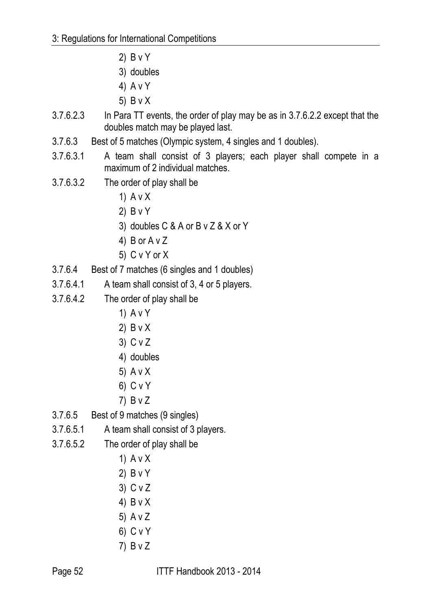- 2) B v Y
- 3) doubles
- 4) A v Y
- 5) B v X
- 3.7.6.2.3 In Para TT events, the order of play may be as in 3.7.6.2.2 except that the doubles match may be played last.
- 3.7.6.3 Best of 5 matches (Olympic system, 4 singles and 1 doubles).
- 3.7.6.3.1 A team shall consist of 3 players; each player shall compete in a maximum of 2 individual matches.
- 3.7.6.3.2 The order of play shall be
	- 1) A v X
	- 2) B v Y
	- 3) doubles C & A or B v Z & X or Y
	- 4) B or A v Z
	- 5) C v Y or X
- 3.7.6.4 Best of 7 matches (6 singles and 1 doubles)
- 3.7.6.4.1 A team shall consist of 3, 4 or 5 players.
- 3.7.6.4.2 The order of play shall be
	- 1) A v Y
	- 2) B v X
	- 3) C v Z
	- 4) doubles
	- 5) A v X
	- 6) C v Y
	- 7) B v Z
- 3.7.6.5 Best of 9 matches (9 singles)
- 3.7.6.5.1 A team shall consist of 3 players.
- 3.7.6.5.2 The order of play shall be
	- 1) A v X
	- 2) B v Y
	- 3) C v Z
	- 4) B v X
	- 5) A v Z
	- 6) C v Y
	- 7) B v Z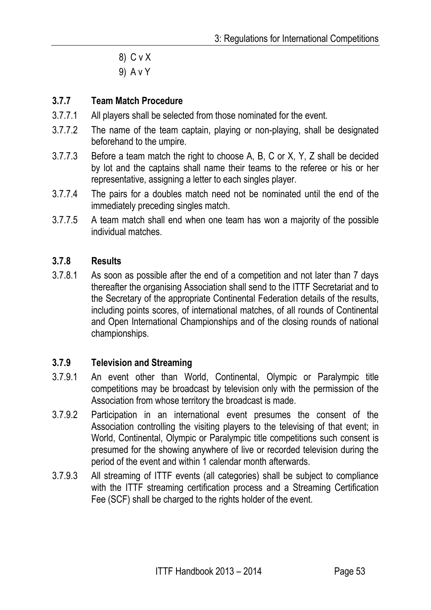- 8) C v X
- 9) A v Y

## **3.7.7 Team Match Procedure**

- 3.7.7.1 All players shall be selected from those nominated for the event.
- 3.7.7.2 The name of the team captain, playing or non-playing, shall be designated beforehand to the umpire.
- 3.7.7.3 Before a team match the right to choose A, B, C or X, Y, Z shall be decided by lot and the captains shall name their teams to the referee or his or her representative, assigning a letter to each singles player.
- 3.7.7.4 The pairs for a doubles match need not be nominated until the end of the immediately preceding singles match.
- 3.7.7.5 A team match shall end when one team has won a majority of the possible individual matches.

#### **3.7.8 Results**

3.7.8.1 As soon as possible after the end of a competition and not later than 7 days thereafter the organising Association shall send to the ITTF Secretariat and to the Secretary of the appropriate Continental Federation details of the results, including points scores, of international matches, of all rounds of Continental and Open International Championships and of the closing rounds of national championships.

#### **3.7.9 Television and Streaming**

- 3.7.9.1 An event other than World, Continental, Olympic or Paralympic title competitions may be broadcast by television only with the permission of the Association from whose territory the broadcast is made.
- 3.7.9.2 Participation in an international event presumes the consent of the Association controlling the visiting players to the televising of that event; in World, Continental, Olympic or Paralympic title competitions such consent is presumed for the showing anywhere of live or recorded television during the period of the event and within 1 calendar month afterwards.
- 3.7.9.3 All streaming of ITTF events (all categories) shall be subject to compliance with the ITTF streaming certification process and a Streaming Certification Fee (SCF) shall be charged to the rights holder of the event.